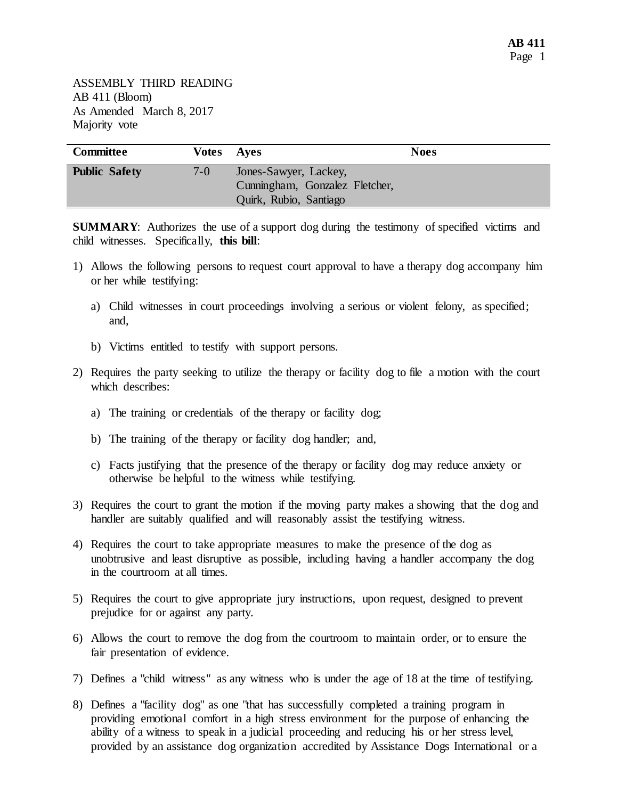| <b>Committee</b>     | Votes Aves |                                | <b>Noes</b> |
|----------------------|------------|--------------------------------|-------------|
| <b>Public Safety</b> | $7-0$      | Jones-Sawyer, Lackey,          |             |
|                      |            | Cunningham, Gonzalez Fletcher, |             |
|                      |            | Quirk, Rubio, Santiago         |             |

**SUMMARY:** Authorizes the use of a support dog during the testimony of specified victims and child witnesses. Specifically, **this bill**:

- 1) Allows the following persons to request court approval to have a therapy dog accompany him or her while testifying:
	- a) Child witnesses in court proceedings involving a serious or violent felony, as specified; and,
	- b) Victims entitled to testify with support persons.
- 2) Requires the party seeking to utilize the therapy or facility dog to file a motion with the court which describes:
	- a) The training or credentials of the therapy or facility dog;
	- b) The training of the therapy or facility dog handler; and,
	- c) Facts justifying that the presence of the therapy or facility dog may reduce anxiety or otherwise be helpful to the witness while testifying.
- 3) Requires the court to grant the motion if the moving party makes a showing that the dog and handler are suitably qualified and will reasonably assist the testifying witness.
- 4) Requires the court to take appropriate measures to make the presence of the dog as unobtrusive and least disruptive as possible, including having a handler accompany the dog in the courtroom at all times.
- 5) Requires the court to give appropriate jury instructions, upon request, designed to prevent prejudice for or against any party.
- 6) Allows the court to remove the dog from the courtroom to maintain order, or to ensure the fair presentation of evidence.
- 7) Defines a "child witness" as any witness who is under the age of 18 at the time of testifying.
- 8) Defines a "facility dog" as one "that has successfully completed a training program in providing emotional comfort in a high stress environment for the purpose of enhancing the ability of a witness to speak in a judicial proceeding and reducing his or her stress level, provided by an assistance dog organization accredited by Assistance Dogs International or a